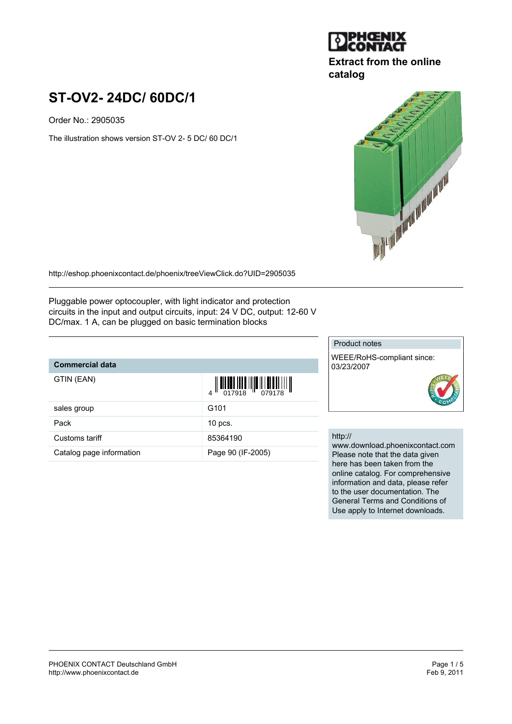# **JPHGENIX**

### **Extract from the online catalog**

# **ST-OV2- 24DC/ 60DC/1**

Order No.: 2905035

The illustration shows version ST-OV 2- 5 DC/ 60 DC/1



<http://eshop.phoenixcontact.de/phoenix/treeViewClick.do?UID=2905035>

Pluggable power optocoupler, with light indicator and protection circuits in the input and output circuits, input: 24 V DC, output: 12-60 V DC/max. 1 A, can be plugged on basic termination blocks

## **Commercial data**

GTIN (EAN)

| $\frac{1}{4}$ $\left\  \frac{1}{101} \prod_{\substack{1 \leq j \leq 1}} \prod_{\substack{1 \leq j \leq 1}} \prod_{\substack{1 \leq j \leq 1 \leq j \leq 1}} \prod_{\substack{1 \leq j \leq 1 \leq j \leq 1}} \prod_{\substack{1 \leq j \leq 1 \leq j \leq 1}} \prod_{\substack{1 \leq j \leq 1 \leq j \leq 1}} \prod_{\substack{1 \leq j \leq 1 \leq j \leq 1}} \prod_{\substack{1 \leq j \leq 1 \leq j \leq 1$ |  |
|-----------------------------------------------------------------------------------------------------------------------------------------------------------------------------------------------------------------------------------------------------------------------------------------------------------------------------------------------------------------------------------------------------------------|--|
|                                                                                                                                                                                                                                                                                                                                                                                                                 |  |

| sales group              | G <sub>101</sub>  |
|--------------------------|-------------------|
| Pack                     | $10$ pcs.         |
| Customs tariff           | 85364190          |
| Catalog page information | Page 90 (IF-2005) |

#### Product notes

WEEE/RoHS-compliant since: 03/23/2007



#### http://

www.download.phoenixcontact.com Please note that the data given here has been taken from the online catalog. For comprehensive information and data, please refer to the user documentation. The General Terms and Conditions of Use apply to Internet downloads.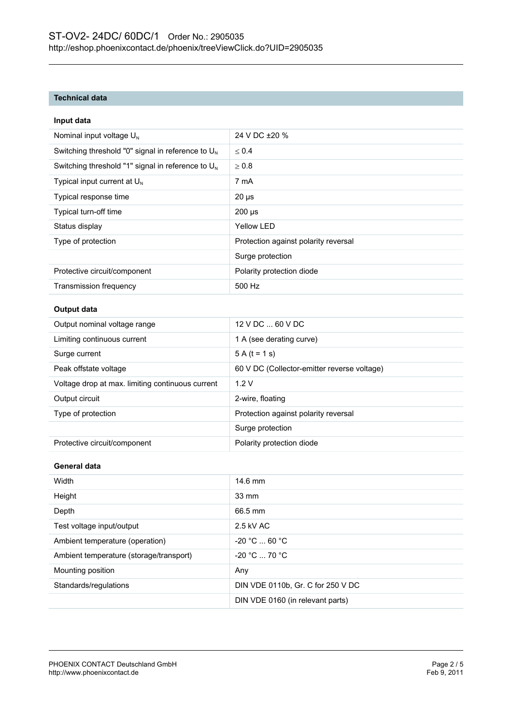#### **Technical data**

| Input data                                           |                                             |
|------------------------------------------------------|---------------------------------------------|
| Nominal input voltage U <sub>N</sub>                 | 24 V DC ±20 %                               |
| Switching threshold "0" signal in reference to $U_N$ | $\leq 0.4$                                  |
| Switching threshold "1" signal in reference to $U_N$ | $\geq 0.8$                                  |
| Typical input current at $U_N$                       | 7 mA                                        |
| Typical response time                                | $20 \mu s$                                  |
| Typical turn-off time                                | $200 \mu s$                                 |
| Status display                                       | <b>Yellow LED</b>                           |
| Type of protection                                   | Protection against polarity reversal        |
|                                                      | Surge protection                            |
| Protective circuit/component                         | Polarity protection diode                   |
| Transmission frequency                               | 500 Hz                                      |
| <b>Output data</b>                                   |                                             |
| Output nominal voltage range                         | 12 V DC  60 V DC                            |
| Limiting continuous current                          | 1 A (see derating curve)                    |
| Surge current                                        | $5 A (t = 1 s)$                             |
| Peak offstate voltage                                | 60 V DC (Collector-emitter reverse voltage) |
| Voltage drop at max. limiting continuous current     | 1.2V                                        |
| Output circuit                                       | 2-wire, floating                            |
| Type of protection                                   | Protection against polarity reversal        |
|                                                      | Surge protection                            |
| Protective circuit/component                         | Polarity protection diode                   |
| General data                                         |                                             |
| Width                                                | 14.6 mm                                     |
| Height                                               | 33 mm                                       |
| Depth                                                | 66.5 mm                                     |
| Test voltage input/output                            | 2.5 kV AC                                   |
| Ambient temperature (operation)                      | -20 °C  60 °C                               |
| Ambient temperature (storage/transport)              | -20 °C  70 °C                               |
| Mounting position                                    | Any                                         |
| Standards/regulations                                | DIN VDE 0110b, Gr. C for 250 V DC           |
|                                                      | DIN VDE 0160 (in relevant parts)            |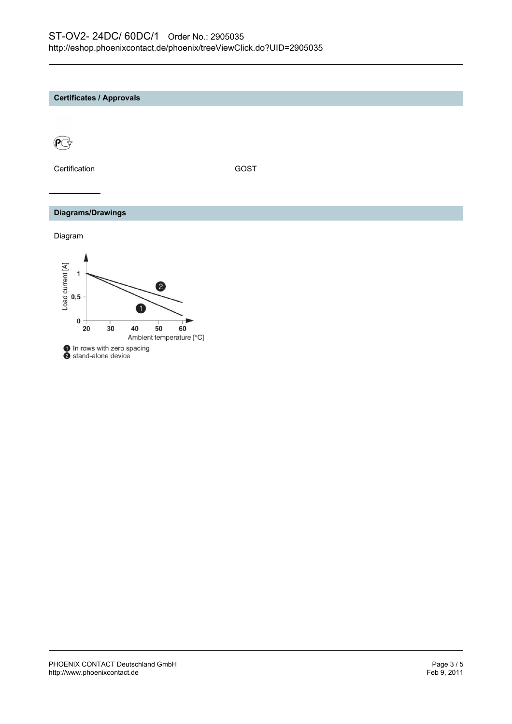#### **Certificates / Approvals**



Certification GOST

#### **Diagrams/Drawings**

Diagram

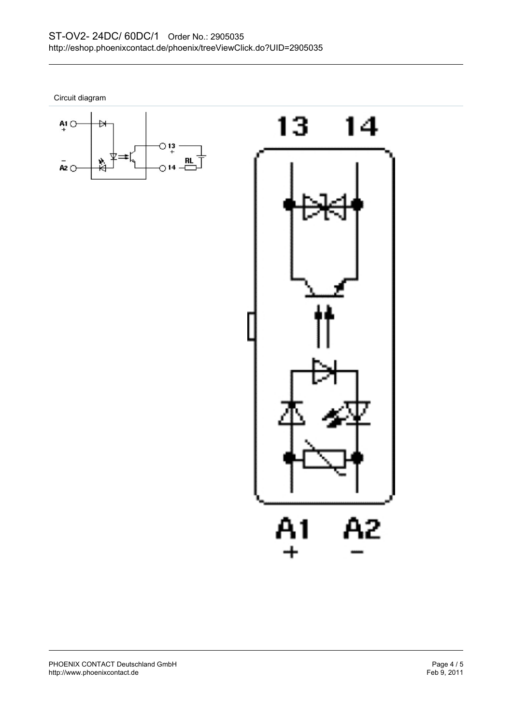Circuit diagram